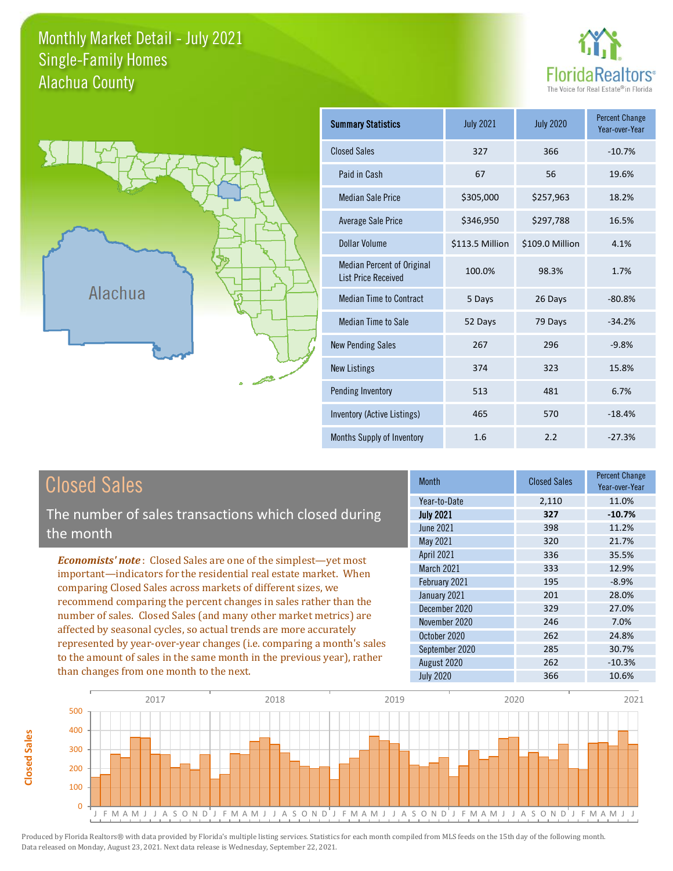#### Monthly Market Detail - July 2021 Alachua County Single-Family Homes





**Closed Sales**

**Closed Sales** 

| <b>Summary Statistics</b>                                       | <b>July 2021</b> | <b>July 2020</b> | <b>Percent Change</b><br>Year-over-Year |
|-----------------------------------------------------------------|------------------|------------------|-----------------------------------------|
| <b>Closed Sales</b>                                             | 327              | 366              | $-10.7%$                                |
| Paid in Cash                                                    | 67               | 56               | 19.6%                                   |
| <b>Median Sale Price</b>                                        | \$305,000        | \$257,963        | 18.2%                                   |
| <b>Average Sale Price</b>                                       | \$346,950        | \$297,788        | 16.5%                                   |
| Dollar Volume                                                   | \$113.5 Million  | \$109.0 Million  | 4.1%                                    |
| <b>Median Percent of Original</b><br><b>List Price Received</b> | 100.0%           | 98.3%            | 1.7%                                    |
| <b>Median Time to Contract</b>                                  | 5 Days           | 26 Days          | $-80.8%$                                |
| <b>Median Time to Sale</b>                                      | 52 Days          | 79 Days          | $-34.2%$                                |
| <b>New Pending Sales</b>                                        | 267              | 296              | $-9.8%$                                 |
| <b>New Listings</b>                                             | 374              | 323              | 15.8%                                   |
| Pending Inventory                                               | 513              | 481              | 6.7%                                    |
| Inventory (Active Listings)                                     | 465              | 570              | $-18.4%$                                |
| Months Supply of Inventory                                      | 1.6              | 2.2              | $-27.3%$                                |

| <b>Closed Sales</b>                                                                                                                                                                                                                                                                                                                                                                                                                                                                                                                                                                                                      | <b>Month</b>                                            | <b>Closed Sales</b> | <b>Percent Change</b><br>Year-over-Year |
|--------------------------------------------------------------------------------------------------------------------------------------------------------------------------------------------------------------------------------------------------------------------------------------------------------------------------------------------------------------------------------------------------------------------------------------------------------------------------------------------------------------------------------------------------------------------------------------------------------------------------|---------------------------------------------------------|---------------------|-----------------------------------------|
|                                                                                                                                                                                                                                                                                                                                                                                                                                                                                                                                                                                                                          | Year-to-Date                                            | 2,110               | 11.0%                                   |
| The number of sales transactions which closed during<br>the month                                                                                                                                                                                                                                                                                                                                                                                                                                                                                                                                                        | <b>July 2021</b><br>June 2021<br>May 2021               | 327<br>398<br>320   | $-10.7%$<br>11.2%<br>21.7%              |
| <b>Economists' note:</b> Closed Sales are one of the simplest—yet most<br>important—indicators for the residential real estate market. When<br>comparing Closed Sales across markets of different sizes, we<br>recommend comparing the percent changes in sales rather than the<br>number of sales. Closed Sales (and many other market metrics) are<br>affected by seasonal cycles, so actual trends are more accurately<br>represented by year-over-year changes (i.e. comparing a month's sales<br>to the amount of sales in the same month in the previous year), rather<br>than changes from one month to the next. | <b>April 2021</b><br><b>March 2021</b><br>February 2021 | 336<br>333<br>195   | 35.5%<br>12.9%<br>$-8.9%$               |
|                                                                                                                                                                                                                                                                                                                                                                                                                                                                                                                                                                                                                          | January 2021<br>December 2020                           | 201<br>329          | 28.0%<br>27.0%                          |
|                                                                                                                                                                                                                                                                                                                                                                                                                                                                                                                                                                                                                          | November 2020<br>October 2020                           | 246<br>262          | 7.0%<br>24.8%                           |
|                                                                                                                                                                                                                                                                                                                                                                                                                                                                                                                                                                                                                          | September 2020<br>August 2020<br><b>July 2020</b>       | 285<br>262<br>366   | 30.7%<br>$-10.3%$<br>10.6%              |

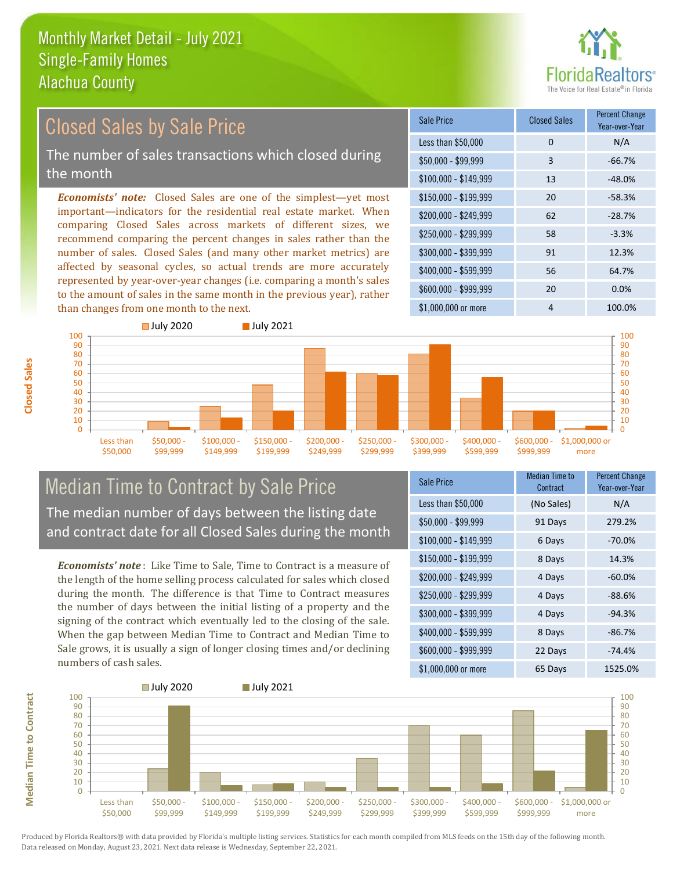

#### \$100,000 - \$149,999 13 -48.0% Sale Price Closed Sales Percent Change Year-over-Year Less than \$50,000 0 0 N/A  $$50.000 - $99.999$  3 -66.7% \$150,000 - \$199,999 20 -58.3%  $$200.000 - $249.999$  62 -28.7% \$400,000 - \$599,999 56 64.7% \$600,000 - \$999,999 20 0.0% *Economists' note:* Closed Sales are one of the simplest—yet most important—indicators for the residential real estate market. When comparing Closed Sales across markets of different sizes, we recommend comparing the percent changes in sales rather than the number of sales. Closed Sales (and many other market metrics) are affected by seasonal cycles, so actual trends are more accurately represented by year-over-year changes (i.e. comparing a month's sales to the amount of sales in the same month in the previous year), rather than changes from one month to the next. \$1,000,000 or more 4 100.0% \$250,000 - \$299,999 58 -3.3% \$300,000 - \$399,999 91 12.3% Closed Sales by Sale Price The number of sales transactions which closed during the month



### Median Time to Contract by Sale Price The median number of days between the listing date and contract date for all Closed Sales during the month

*Economists' note* : Like Time to Sale, Time to Contract is a measure of the length of the home selling process calculated for sales which closed during the month. The difference is that Time to Contract measures the number of days between the initial listing of a property and the signing of the contract which eventually led to the closing of the sale. When the gap between Median Time to Contract and Median Time to Sale grows, it is usually a sign of longer closing times and/or declining numbers of cash sales.

| <b>Sale Price</b>     | Median Time to<br>Contract | Percent Change<br>Year-over-Year |
|-----------------------|----------------------------|----------------------------------|
| Less than \$50,000    | (No Sales)                 | N/A                              |
| $$50,000 - $99,999$   | 91 Days                    | 279.2%                           |
| $$100,000 - $149,999$ | 6 Days                     | $-70.0%$                         |
| $$150,000 - $199,999$ | 8 Days                     | 14.3%                            |
| \$200,000 - \$249,999 | 4 Days                     | $-60.0%$                         |
| \$250,000 - \$299,999 | 4 Days                     | $-88.6%$                         |
| \$300,000 - \$399,999 | 4 Days                     | $-94.3%$                         |
| \$400,000 - \$599,999 | 8 Days                     | $-86.7%$                         |
| \$600,000 - \$999,999 | 22 Days                    | $-74.4%$                         |
| \$1,000,000 or more   | 65 Days                    | 1525.0%                          |



**Closed Sales**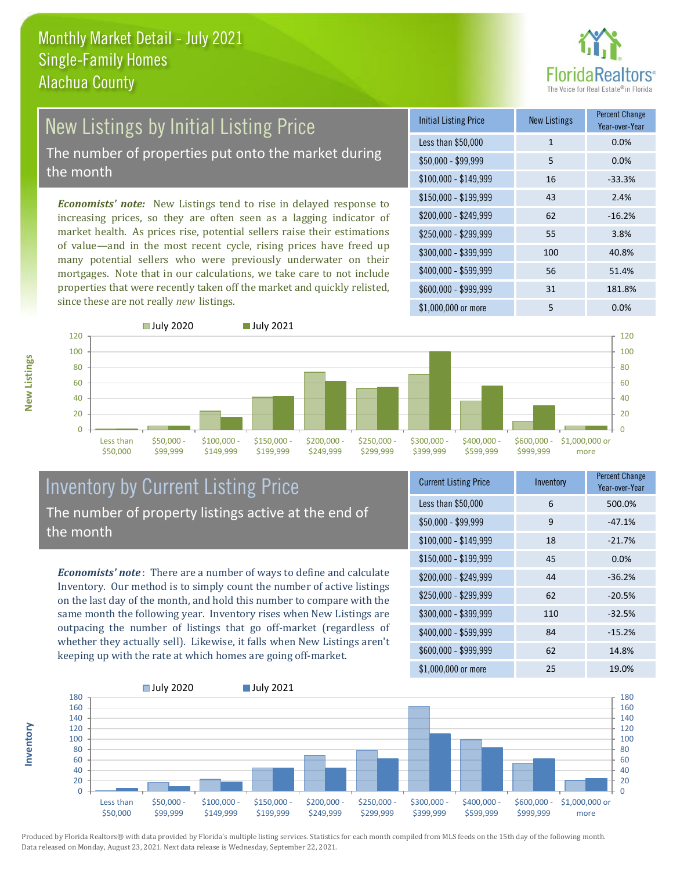

# New Listings by Initial Listing Price

The number of properties put onto the market during the month

*Economists' note:* New Listings tend to rise in delayed response to increasing prices, so they are often seen as a lagging indicator of market health. As prices rise, potential sellers raise their estimations of value—and in the most recent cycle, rising prices have freed up many potential sellers who were previously underwater on their mortgages. Note that in our calculations, we take care to not include properties that were recently taken off the market and quickly relisted, since these are not really *new* listings.

| <b>Initial Listing Price</b> | <b>New Listings</b> | <b>Percent Change</b><br>Year-over-Year |
|------------------------------|---------------------|-----------------------------------------|
| Less than \$50,000           | $\mathbf{1}$        | 0.0%                                    |
| $$50,000 - $99,999$          | 5                   | 0.0%                                    |
| $$100,000 - $149,999$        | 16                  | $-33.3%$                                |
| $$150,000 - $199,999$        | 43                  | 2.4%                                    |
| \$200,000 - \$249,999        | 62                  | $-16.2%$                                |
| \$250,000 - \$299,999        | 55                  | 3.8%                                    |
| \$300,000 - \$399,999        | 100                 | 40.8%                                   |
| \$400,000 - \$599,999        | 56                  | 51.4%                                   |
| \$600,000 - \$999,999        | 31                  | 181.8%                                  |
| \$1,000,000 or more          | 5                   | $0.0\%$                                 |



#### Inventory by Current Listing Price The number of property listings active at the end of the month

*Economists' note* : There are a number of ways to define and calculate Inventory. Our method is to simply count the number of active listings on the last day of the month, and hold this number to compare with the same month the following year. Inventory rises when New Listings are outpacing the number of listings that go off-market (regardless of whether they actually sell). Likewise, it falls when New Listings aren't keeping up with the rate at which homes are going off-market.

| <b>Current Listing Price</b> | Inventory | <b>Percent Change</b><br>Year-over-Year |
|------------------------------|-----------|-----------------------------------------|
| Less than \$50,000           | 6         | 500.0%                                  |
| $$50,000 - $99,999$          | 9         | $-47.1%$                                |
| $$100,000 - $149,999$        | 18        | $-21.7%$                                |
| $$150,000 - $199,999$        | 45        | 0.0%                                    |
| \$200,000 - \$249,999        | 44        | $-36.2%$                                |
| \$250,000 - \$299,999        | 62        | $-20.5%$                                |
| \$300,000 - \$399,999        | 110       | $-32.5%$                                |
| \$400,000 - \$599,999        | 84        | $-15.2%$                                |
| \$600,000 - \$999,999        | 62        | 14.8%                                   |
| \$1,000,000 or more          | 25        | 19.0%                                   |



Produced by Florida Realtors® with data provided by Florida's multiple listing services. Statistics for each month compiled from MLS feeds on the 15th day of the following month. Data released on Monday, August 23, 2021. Next data release is Wednesday, September 22, 2021.

**Inventory**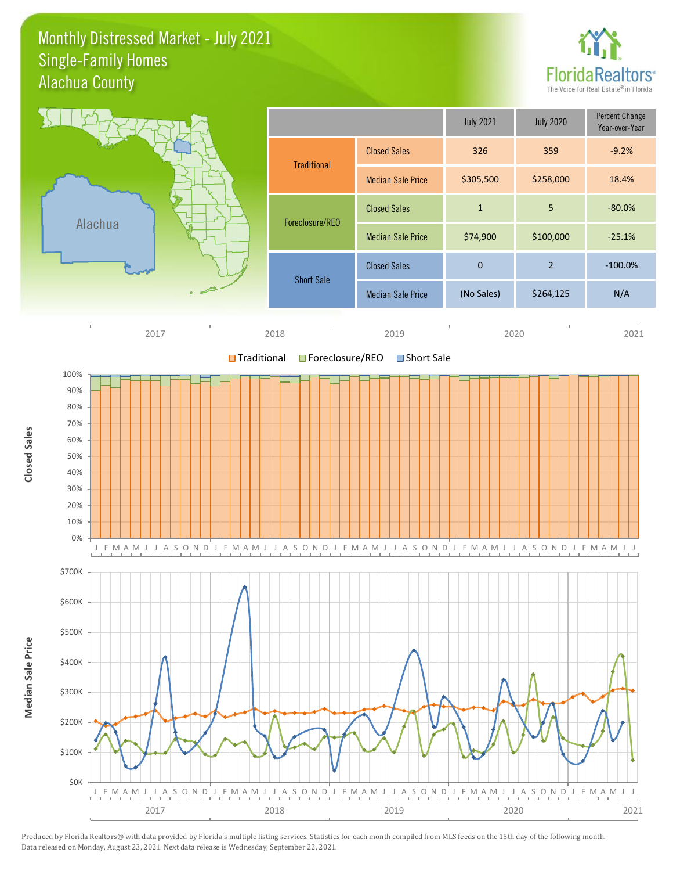#### Monthly Distressed Market - July 2021 Alachua County Single-Family Homes



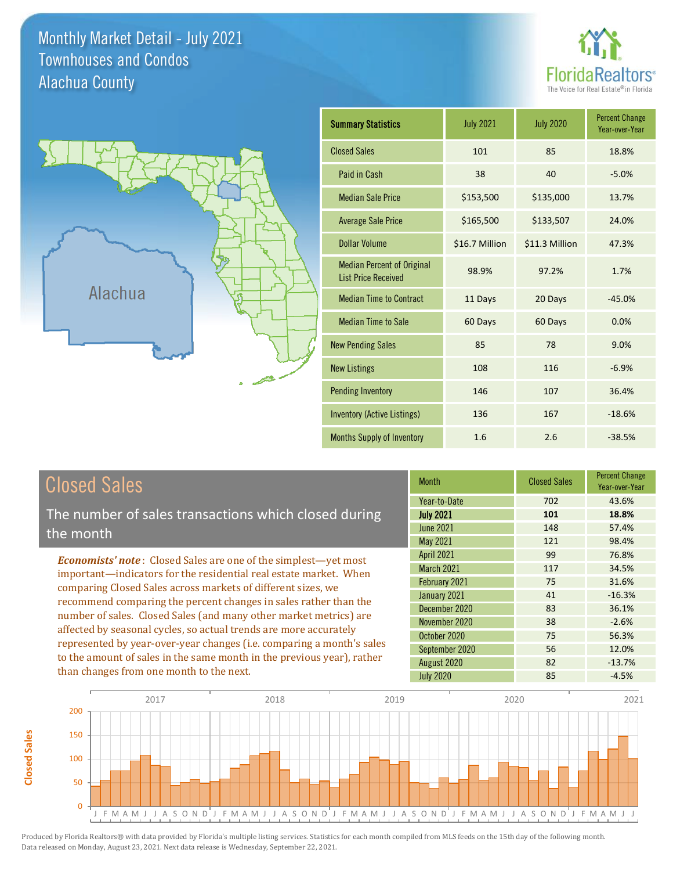Monthly Market Detail - July 2021 Alachua County Townhouses and Condos





| <b>Summary Statistics</b>                                       | <b>July 2021</b> | <b>July 2020</b> | <b>Percent Change</b><br>Year-over-Year |
|-----------------------------------------------------------------|------------------|------------------|-----------------------------------------|
| <b>Closed Sales</b>                                             | 101              | 85               | 18.8%                                   |
| Paid in Cash                                                    | 38               | 40               | $-5.0%$                                 |
| <b>Median Sale Price</b>                                        | \$153,500        | \$135,000        | 13.7%                                   |
| <b>Average Sale Price</b>                                       | \$165,500        | \$133,507        | 24.0%                                   |
| <b>Dollar Volume</b>                                            | \$16.7 Million   | \$11.3 Million   | 47.3%                                   |
| <b>Median Percent of Original</b><br><b>List Price Received</b> | 98.9%            | 97.2%            | 1.7%                                    |
| <b>Median Time to Contract</b>                                  | 11 Days          | 20 Days          | $-45.0%$                                |
| <b>Median Time to Sale</b>                                      | 60 Days          | 60 Days          | 0.0%                                    |
| <b>New Pending Sales</b>                                        | 85               | 78               | 9.0%                                    |
| <b>New Listings</b>                                             | 108              | 116              | $-6.9%$                                 |
| <b>Pending Inventory</b>                                        | 146              | 107              | 36.4%                                   |
| <b>Inventory (Active Listings)</b>                              | 136              | 167              | $-18.6%$                                |
| <b>Months Supply of Inventory</b>                               | 1.6              | 2.6              | $-38.5%$                                |

# Closed Sales

**Closed Sales**

**Closed Sales** 

The number of sales transactions which closed during the month

*Economists' note* : Closed Sales are one of the simplest—yet most important—indicators for the residential real estate market. When comparing Closed Sales across markets of different sizes, we recommend comparing the percent changes in sales rather than the number of sales. Closed Sales (and many other market metrics) are affected by seasonal cycles, so actual trends are more accurately represented by year-over-year changes (i.e. comparing a month's sales to the amount of sales in the same month in the previous year), rather than changes from one month to the next.

| <b>Month</b>      | <b>Closed Sales</b> | <b>Percent Change</b><br>Year-over-Year |
|-------------------|---------------------|-----------------------------------------|
| Year-to-Date      | 702                 | 43.6%                                   |
| <b>July 2021</b>  | 101                 | 18.8%                                   |
| June 2021         | 148                 | 57.4%                                   |
| May 2021          | 121                 | 98.4%                                   |
| <b>April 2021</b> | 99                  | 76.8%                                   |
| <b>March 2021</b> | 117                 | 34.5%                                   |
| February 2021     | 75                  | 31.6%                                   |
| January 2021      | 41                  | $-16.3%$                                |
| December 2020     | 83                  | 36.1%                                   |
| November 2020     | 38                  | $-2.6%$                                 |
| October 2020      | 75                  | 56.3%                                   |
| September 2020    | 56                  | 12.0%                                   |
| August 2020       | 82                  | $-13.7%$                                |
| <b>July 2020</b>  | 85                  | $-4.5%$                                 |

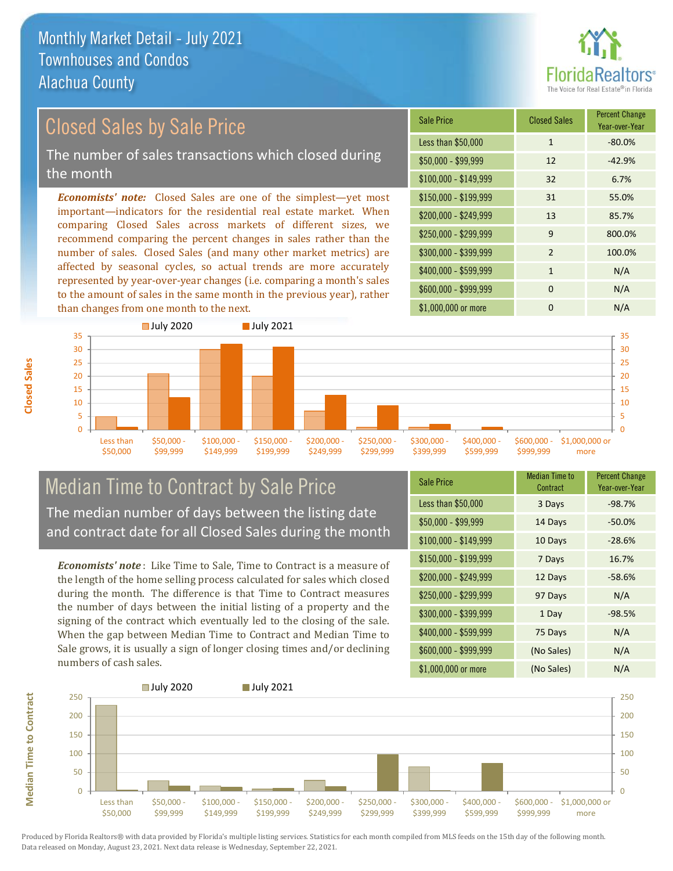

## Closed Sales by Sale Price

The number of sales transactions which closed during the month

*Economists' note:* Closed Sales are one of the simplest—yet most important—indicators for the residential real estate market. When comparing Closed Sales across markets of different sizes, we recommend comparing the percent changes in sales rather than the number of sales. Closed Sales (and many other market metrics) are affected by seasonal cycles, so actual trends are more accurately represented by year-over-year changes (i.e. comparing a month's sales to the amount of sales in the same month in the previous year), rather than changes from one month to the next.

| <b>Sale Price</b>     | <b>Closed Sales</b> | <b>Percent Change</b><br>Year-over-Year |
|-----------------------|---------------------|-----------------------------------------|
| Less than \$50,000    | $\mathbf{1}$        | $-80.0%$                                |
| $$50,000 - $99,999$   | 12                  | $-42.9%$                                |
| $$100,000 - $149,999$ | 32                  | 6.7%                                    |
| \$150,000 - \$199,999 | 31                  | 55.0%                                   |
| \$200,000 - \$249,999 | 13                  | 85.7%                                   |
| \$250,000 - \$299,999 | 9                   | 800.0%                                  |
| \$300,000 - \$399,999 | $\mathfrak{p}$      | 100.0%                                  |
| \$400,000 - \$599,999 | $\mathbf{1}$        | N/A                                     |
| \$600,000 - \$999,999 | $\Omega$            | N/A                                     |
| \$1,000,000 or more   | O                   | N/A                                     |



### Median Time to Contract by Sale Price The median number of days between the listing date and contract date for all Closed Sales during the month

*Economists' note* : Like Time to Sale, Time to Contract is a measure of the length of the home selling process calculated for sales which closed during the month. The difference is that Time to Contract measures the number of days between the initial listing of a property and the signing of the contract which eventually led to the closing of the sale. When the gap between Median Time to Contract and Median Time to Sale grows, it is usually a sign of longer closing times and/or declining numbers of cash sales.

| <b>Sale Price</b>     | Median Time to<br>Contract | <b>Percent Change</b><br>Year-over-Year |
|-----------------------|----------------------------|-----------------------------------------|
| Less than \$50,000    | 3 Days                     | $-98.7%$                                |
| \$50,000 - \$99,999   | 14 Days                    | $-50.0%$                                |
| $$100,000 - $149,999$ | 10 Days                    | $-28.6%$                                |
| $$150,000 - $199,999$ | 7 Days                     | 16.7%                                   |
| \$200,000 - \$249,999 | 12 Days                    | $-58.6%$                                |
| \$250,000 - \$299,999 | 97 Days                    | N/A                                     |
| \$300,000 - \$399,999 | 1 Day                      | $-98.5%$                                |
| \$400,000 - \$599,999 | 75 Days                    | N/A                                     |
| \$600,000 - \$999,999 | (No Sales)                 | N/A                                     |
| \$1,000,000 or more   | (No Sales)                 | N/A                                     |

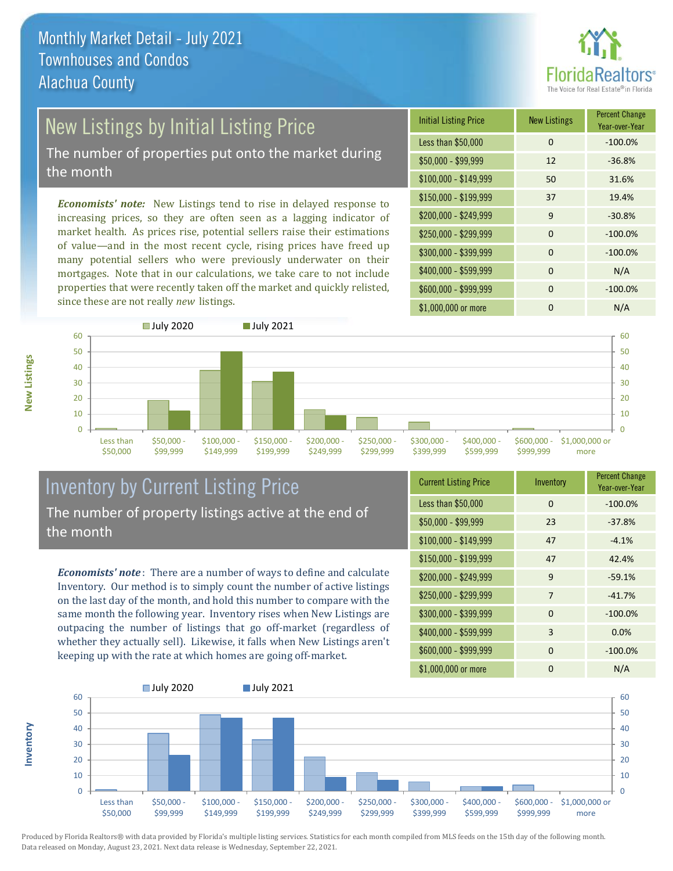

# New Listings by Initial Listing Price

The number of properties put onto the market during the month

*Economists' note:* New Listings tend to rise in delayed response to increasing prices, so they are often seen as a lagging indicator of market health. As prices rise, potential sellers raise their estimations of value—and in the most recent cycle, rising prices have freed up many potential sellers who were previously underwater on their mortgages. Note that in our calculations, we take care to not include properties that were recently taken off the market and quickly relisted, since these are not really *new* listings.

| <b>Initial Listing Price</b> | <b>New Listings</b> | <b>Percent Change</b><br>Year-over-Year |
|------------------------------|---------------------|-----------------------------------------|
| Less than \$50,000           | 0                   | $-100.0%$                               |
| \$50,000 - \$99,999          | 12                  | $-36.8%$                                |
| $$100,000 - $149,999$        | 50                  | 31.6%                                   |
| $$150,000 - $199,999$        | 37                  | 19.4%                                   |
| \$200,000 - \$249,999        | 9                   | $-30.8%$                                |
| \$250,000 - \$299,999        | $\Omega$            | $-100.0%$                               |
| \$300,000 - \$399,999        | $\Omega$            | $-100.0%$                               |
| \$400,000 - \$599,999        | $\Omega$            | N/A                                     |
| \$600,000 - \$999,999        | $\Omega$            | $-100.0%$                               |
| \$1,000,000 or more          | ŋ                   | N/A                                     |



## Inventory by Current Listing Price The number of property listings active at the end of the month

*Economists' note* : There are a number of ways to define and calculate Inventory. Our method is to simply count the number of active listings on the last day of the month, and hold this number to compare with the same month the following year. Inventory rises when New Listings are outpacing the number of listings that go off-market (regardless of whether they actually sell). Likewise, it falls when New Listings aren't keeping up with the rate at which homes are going off-market.

| <b>Current Listing Price</b> | Inventory | <b>Percent Change</b><br>Year-over-Year |
|------------------------------|-----------|-----------------------------------------|
| Less than \$50,000           | $\Omega$  | $-100.0%$                               |
| $$50,000 - $99,999$          | 23        | $-37.8%$                                |
| $$100,000 - $149,999$        | 47        | $-4.1%$                                 |
| $$150,000 - $199,999$        | 47        | 42.4%                                   |
| \$200,000 - \$249,999        | 9         | $-59.1%$                                |
| \$250,000 - \$299,999        | 7         | $-41.7%$                                |
| \$300,000 - \$399,999        | $\Omega$  | $-100.0%$                               |
| \$400,000 - \$599,999        | 3         | 0.0%                                    |
| \$600,000 - \$999,999        | $\Omega$  | $-100.0%$                               |
| \$1,000,000 or more          | ŋ         | N/A                                     |



Produced by Florida Realtors® with data provided by Florida's multiple listing services. Statistics for each month compiled from MLS feeds on the 15th day of the following month. Data released on Monday, August 23, 2021. Next data release is Wednesday, September 22, 2021.

**Inventory**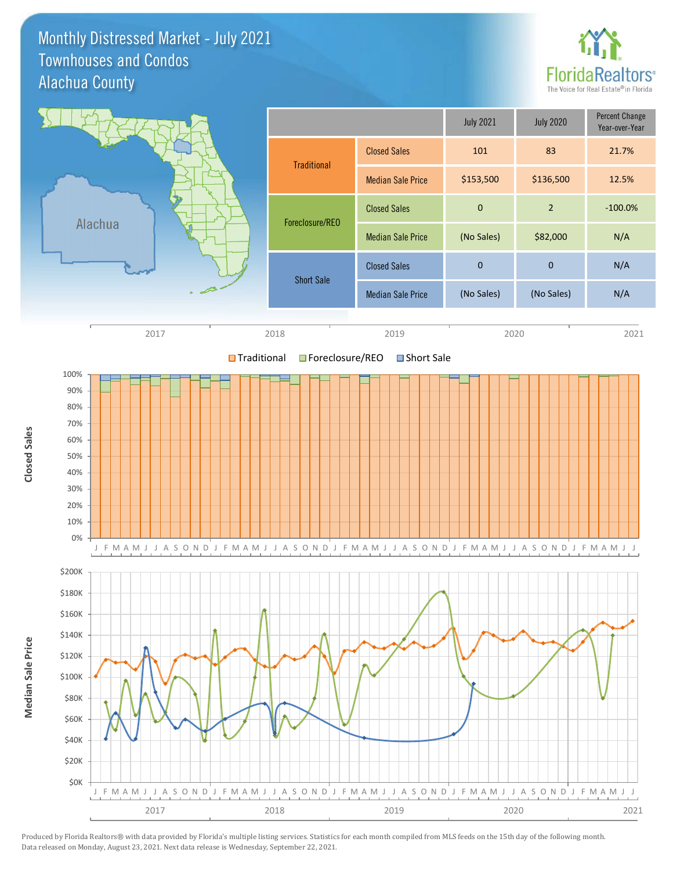Monthly Distressed Market - July 2021 Alachua County Townhouses and Condos



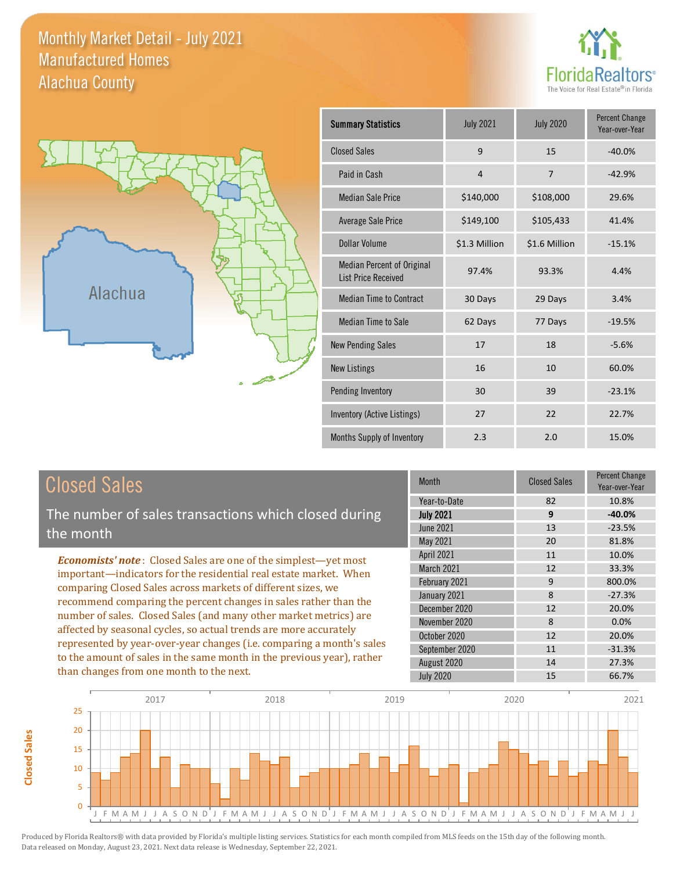Monthly Market Detail - July 2021 Alachua County Manufactured Homes

**Closed Sales**

**Closed Sales** 





| <b>Summary Statistics</b>                                       | <b>July 2021</b> | <b>July 2020</b> | <b>Percent Change</b><br>Year-over-Year |
|-----------------------------------------------------------------|------------------|------------------|-----------------------------------------|
| <b>Closed Sales</b>                                             | 9                | 15               | $-40.0%$                                |
| Paid in Cash                                                    | $\overline{4}$   | $\overline{7}$   | $-42.9%$                                |
| <b>Median Sale Price</b>                                        | \$140,000        | \$108,000        | 29.6%                                   |
| <b>Average Sale Price</b>                                       | \$149,100        | \$105,433        | 41.4%                                   |
| Dollar Volume                                                   | \$1.3 Million    | \$1.6 Million    | $-15.1%$                                |
| <b>Median Percent of Original</b><br><b>List Price Received</b> | 97.4%            | 93.3%            | 4.4%                                    |
| <b>Median Time to Contract</b>                                  | 30 Days          | 29 Days          | 3.4%                                    |
| <b>Median Time to Sale</b>                                      | 62 Days          | 77 Days          | $-19.5%$                                |
| <b>New Pending Sales</b>                                        | 17               | 18               | $-5.6%$                                 |
| <b>New Listings</b>                                             | 16               | 10               | 60.0%                                   |
| Pending Inventory                                               | 30               | 39               | $-23.1%$                                |
| Inventory (Active Listings)                                     | 27               | 22               | 22.7%                                   |
| Months Supply of Inventory                                      | 2.3              | 2.0              | 15.0%                                   |

| <b>Closed Sales</b>                                                                                                                                                                                                                                                                                                                                                                                       | <b>Month</b>      | <b>Closed Sales</b> | <b>Percent Change</b><br>Year-over-Year |
|-----------------------------------------------------------------------------------------------------------------------------------------------------------------------------------------------------------------------------------------------------------------------------------------------------------------------------------------------------------------------------------------------------------|-------------------|---------------------|-----------------------------------------|
|                                                                                                                                                                                                                                                                                                                                                                                                           | Year-to-Date      | 82                  | 10.8%                                   |
| The number of sales transactions which closed during                                                                                                                                                                                                                                                                                                                                                      | <b>July 2021</b>  | 9                   | $-40.0%$                                |
| the month                                                                                                                                                                                                                                                                                                                                                                                                 | <b>June 2021</b>  | 13                  | $-23.5%$                                |
|                                                                                                                                                                                                                                                                                                                                                                                                           | May 2021          | 20                  | 81.8%                                   |
| <b>Economists' note:</b> Closed Sales are one of the simplest—yet most                                                                                                                                                                                                                                                                                                                                    | April 2021        | 11                  | 10.0%                                   |
| important—indicators for the residential real estate market. When                                                                                                                                                                                                                                                                                                                                         | <b>March 2021</b> | 12                  | 33.3%                                   |
| comparing Closed Sales across markets of different sizes, we                                                                                                                                                                                                                                                                                                                                              | February 2021     | 9                   | 800.0%                                  |
| recommend comparing the percent changes in sales rather than the<br>number of sales. Closed Sales (and many other market metrics) are<br>affected by seasonal cycles, so actual trends are more accurately<br>represented by year-over-year changes (i.e. comparing a month's sales<br>to the amount of sales in the same month in the previous year), rather<br>than changes from one month to the next. | January 2021      | 8                   | $-27.3%$                                |
|                                                                                                                                                                                                                                                                                                                                                                                                           | December 2020     | 12                  | 20.0%                                   |
|                                                                                                                                                                                                                                                                                                                                                                                                           | November 2020     | 8                   | $0.0\%$                                 |
|                                                                                                                                                                                                                                                                                                                                                                                                           | October 2020      | 12                  | 20.0%                                   |
|                                                                                                                                                                                                                                                                                                                                                                                                           | September 2020    | 11                  | $-31.3%$                                |
|                                                                                                                                                                                                                                                                                                                                                                                                           | August 2020       | 14                  | 27.3%                                   |
|                                                                                                                                                                                                                                                                                                                                                                                                           | <b>July 2020</b>  | 15                  | 66.7%                                   |

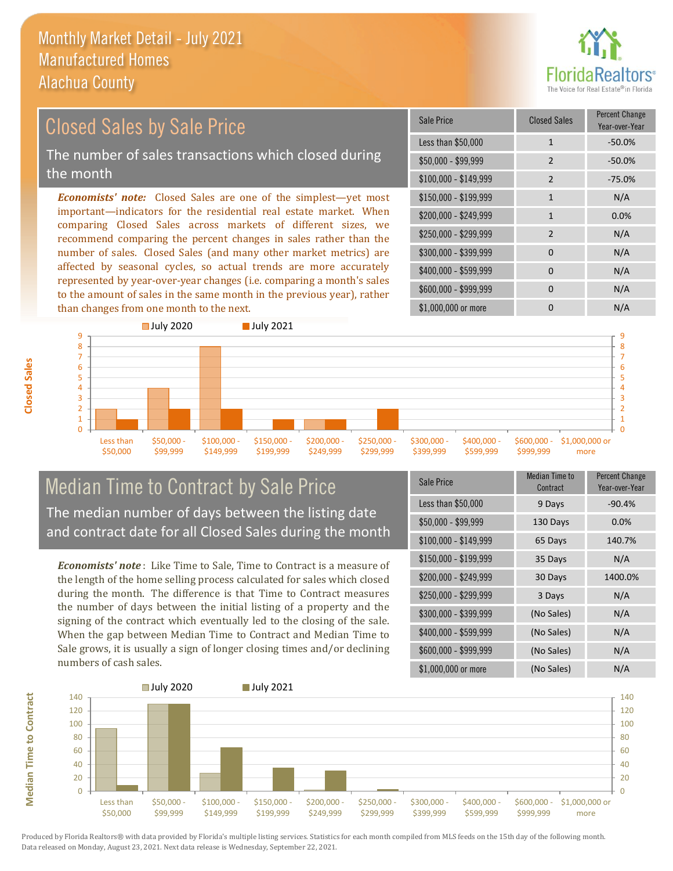

#### \$100,000 - \$149,999 2 -75.0% Sale Price Closed Sales Percent Change Year-over-Year Less than \$50,000 1 1 -50.0% \$50,000 - \$99,999 2 -50.0% \$150,000 - \$199,999 1 1 N/A \$200,000 - \$249,999 1 0.0% *Economists' note:* Closed Sales are one of the simplest—yet most important—indicators for the residential real estate market. When comparing Closed Sales across markets of different sizes, we recommend comparing the percent changes in sales rather than the number of sales. Closed Sales (and many other market metrics) are \$250,000 - \$299,999 2 N/A \$300,000 - \$399,999 0 0 N/A Closed Sales by Sale Price The number of sales transactions which closed during the month

affected by seasonal cycles, so actual trends are more accurately represented by year-over-year changes (i.e. comparing a month's sales to the amount of sales in the same month in the previous year), rather than changes from one month to the next.



#### Median Time to Contract by Sale Price The median number of days between the listing date and contract date for all Closed Sales during the month

*Economists' note* : Like Time to Sale, Time to Contract is a measure of the length of the home selling process calculated for sales which closed during the month. The difference is that Time to Contract measures the number of days between the initial listing of a property and the signing of the contract which eventually led to the closing of the sale. When the gap between Median Time to Contract and Median Time to Sale grows, it is usually a sign of longer closing times and/or declining numbers of cash sales.

| <b>Sale Price</b>     | <b>Median Time to</b><br>Contract | <b>Percent Change</b><br>Year-over-Year |
|-----------------------|-----------------------------------|-----------------------------------------|
| Less than \$50,000    | 9 Days                            | $-90.4%$                                |
| $$50,000 - $99,999$   | 130 Days                          | 0.0%                                    |
| $$100,000 - $149,999$ | 65 Days                           | 140.7%                                  |
| $$150,000 - $199,999$ | 35 Days                           | N/A                                     |
| \$200,000 - \$249,999 | 30 Days                           | 1400.0%                                 |
| \$250,000 - \$299,999 | 3 Days                            | N/A                                     |
| \$300,000 - \$399,999 | (No Sales)                        | N/A                                     |
| \$400,000 - \$599,999 | (No Sales)                        | N/A                                     |
| \$600,000 - \$999,999 | (No Sales)                        | N/A                                     |
| \$1,000,000 or more   | (No Sales)                        | N/A                                     |

 $$400,000 - $599,999$  0 N/A \$600,000 - \$999,999 0 0 N/A



**Closed Sales**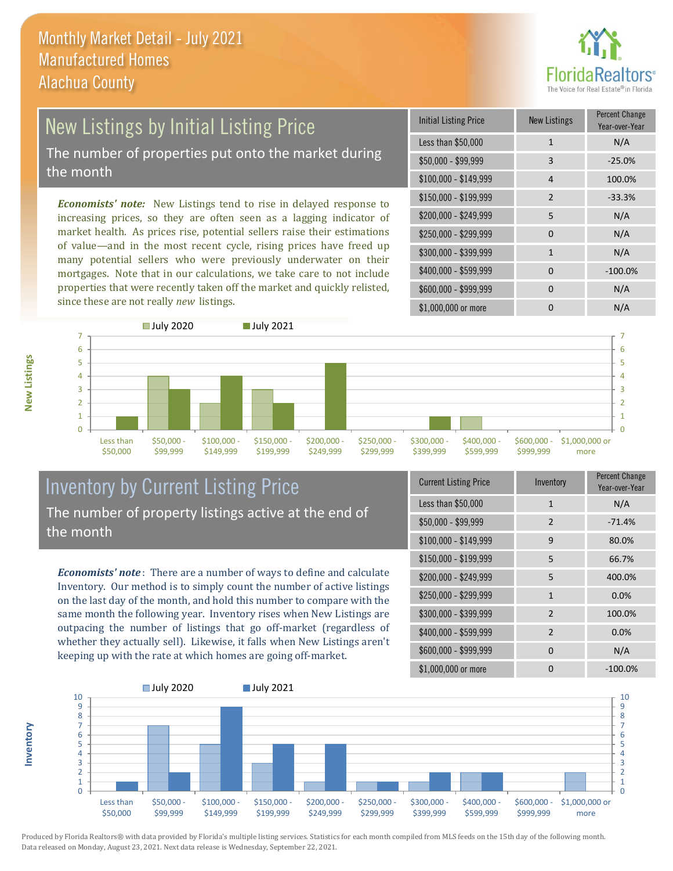

# New Listings by Initial Listing Price The number of properties put onto the market during

the month

*Economists' note:* New Listings tend to rise in delayed response to increasing prices, so they are often seen as a lagging indicator of market health. As prices rise, potential sellers raise their estimations of value—and in the most recent cycle, rising prices have freed up many potential sellers who were previously underwater on their mortgages. Note that in our calculations, we take care to not include properties that were recently taken off the market and quickly relisted, since these are not really *new* listings.

| <b>Initial Listing Price</b> | New Listings | <b>Percent Change</b><br>Year-over-Year |
|------------------------------|--------------|-----------------------------------------|
| Less than \$50,000           | $\mathbf{1}$ | N/A                                     |
| $$50,000 - $99,999$          | 3            | $-25.0%$                                |
| $$100,000 - $149,999$        | 4            | 100.0%                                  |
| $$150,000 - $199,999$        | 2            | $-33.3%$                                |
| \$200,000 - \$249,999        | 5            | N/A                                     |
| \$250,000 - \$299,999        | $\Omega$     | N/A                                     |
| \$300,000 - \$399,999        | $\mathbf{1}$ | N/A                                     |
| \$400,000 - \$599,999        | 0            | $-100.0%$                               |
| \$600,000 - \$999,999        | $\Omega$     | N/A                                     |
| \$1,000,000 or more          |              | N/A                                     |



### Inventory by Current Listing Price The number of property listings active at the end of the month

*Economists' note* : There are a number of ways to define and calculate Inventory. Our method is to simply count the number of active listings on the last day of the month, and hold this number to compare with the same month the following year. Inventory rises when New Listings are outpacing the number of listings that go off-market (regardless of whether they actually sell). Likewise, it falls when New Listings aren't keeping up with the rate at which homes are going off-market.

| <b>Current Listing Price</b> | Inventory      | Percent Change<br>Year-over-Year |
|------------------------------|----------------|----------------------------------|
| Less than \$50,000           | 1              | N/A                              |
| $$50,000 - $99,999$          | $\overline{2}$ | $-71.4%$                         |
| $$100,000 - $149,999$        | 9              | 80.0%                            |
| $$150,000 - $199,999$        | 5              | 66.7%                            |
| \$200,000 - \$249,999        | 5              | 400.0%                           |
| \$250,000 - \$299,999        | $\mathbf{1}$   | 0.0%                             |
| \$300,000 - \$399,999        | $\overline{2}$ | 100.0%                           |
| \$400,000 - \$599,999        | $\overline{2}$ | 0.0%                             |
| \$600,000 - \$999,999        | $\Omega$       | N/A                              |
| \$1,000,000 or more          | O              | $-100.0\%$                       |



Produced by Florida Realtors® with data provided by Florida's multiple listing services. Statistics for each month compiled from MLS feeds on the 15th day of the following month. Data released on Monday, August 23, 2021. Next data release is Wednesday, September 22, 2021.

**Inventory**